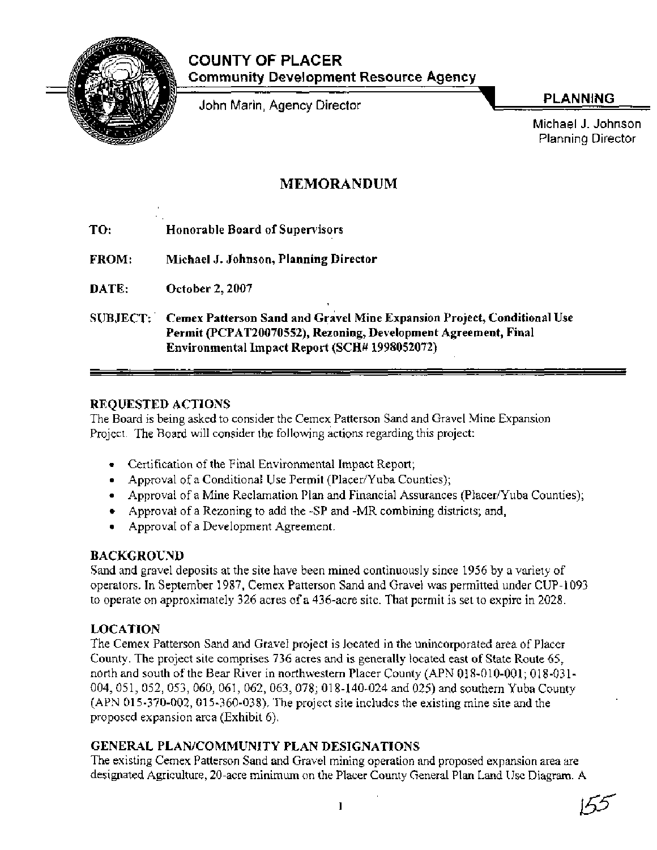

# **COUNTY OF PLACER Community Development Resource Agency**

John Marin, Agency Director

**PLANNING** 

Michael J. Johnson Planning Director

# **MEMORANDUM**

- **TO: Honorable Board of Supervisors**
- **FROM: Michael J. Johnson, Planning Director**
- **DATE: October 2,2007**
- **SUBJECT:** Cemex Patterson Sand and Gravel Mine Expansion Project, Conditional Use **Permit (PCPAT20070552), Rezoning, Development Agreement, Final Environmental Impact Report (SCH# 1998052072)**

## **REQUESTED ACTIONS**

The Board is being asked to consider the Cemex Patterson Sand and Gravel Mine Expansion Project. The Board will consider the following actions regarding this project:

- Certification of the Final Environmental Impact Report;
- Approval of a Conditional Use Permit (Placer/Yuba Counties);
- Approval of a Mine Reclamation Plan and Financial Assurances (Placer/Yuba Counties);
- Approval of a Rezoning to add the -SP and -MR combining districts; and,
- Approval of a Development Agreement.

## **BACKGROUND**

Sand and gravel deposits at the site have been mined continuously since 1956 by a variety of operators. In September 1987, Cemex Patterson Sand and Gravel was permitted under CUP-1 093 to operate on approximately 326 acres of a 436-acre site. That permit is set to expire in 2028.

## **LOCATION**

The Cemex Patterson Sand and Gravel project is located in the unincorporated area of Placer County. The project site comprises 736 acres and is generally located east of State Route 65, north and south of the Bear River in northwestern Placer County (APN 018-010-001; 018-031-004,051, 052,053,060,061, 062,063,078; 018-140-024 and 025) and southern Yuba County (APN 015-370-002,015-360-038). The project site includes the existing mine site and the proposed expansion area (Exhibit 6).

## **GENERAL PLANJCOMMUNITY PLAN DESIGNATIONS**

The existing Cemex Patterson Sand and Gravel mining operation and proposed expansion area are designated Agriculture, 20-acre minimum on the Placer County General Plan Land Use Diagram. A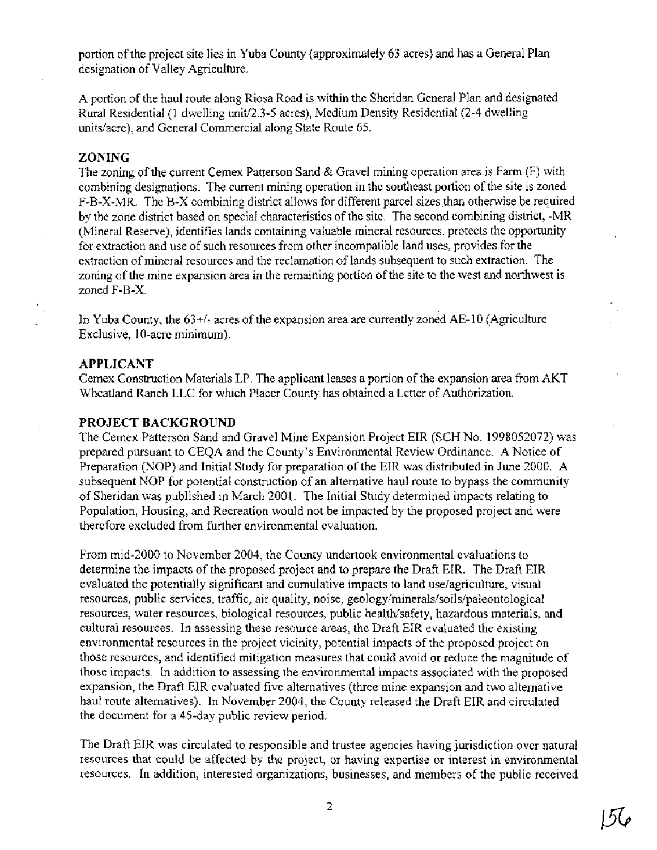portion of the project site lies in Yuba County (approximately 63 acres) and has a General Plan designation of Valley Agriculture.

A portion of the haul route along Riosa Road is within the Sheridan General Plan and designated Rural Residential (1 dwelling unit/2.3-5 acres), Medium Density Residential (2-4 dwelling unitslacre), and General Commercial along State Route 65.

#### **ZONING**

The zoning of the current Cemex Patterson Sand & Gravel mining operation area is Farm (F) with combining designations. The current mining operation in the southeast portion of the site is zoned F-B-X-MR. The B-X combining district allows for different parcel sizes than otherwise be required by the zone district based on special characteristics of the site. The second combining district, -MR (Mineral Reserve), identifies lands containing valuable mineral resources, protects the opportunity for extraction and use of such resources from other incompatible land uses, provides for the extraction of mineral resources and the reclamation of lands subsequent to such extraction. The zoning of the mine expansion area in the remaining portion of the site to the west and northwest is zoned F-B-X.

In Yuba County, the 63+/- acres of the expansion area are currently zoned AE- 10 (Agriculture Exclusive, 10-acre minimum).

### **APPLICANT**

Cemex Construction Materials LP. The applicant leases a portion of the expansion area from AKT Wheatland Ranch LLC for which Placer County has obtained a Letter of Authorization.

### **PROJECT BACKGROUND**

The Cemex Patterson Sand and Gravel Mine Expansion Project EIR (SCH No. 1998052072) was prepared pursuant to CEQA and the County's Environmental Review Ordinance. A Notice of Preparation (NOP) and Initial Study for preparation of the EIR was distributed in June 2000. A subsequent NOP for potential construction of an alternative haul route to bypass the community of Sheridan was published in March 2001. The Initial Study determined impacts relating to Population, Housing, and Recreation would not be impacted by the proposed project and were therefore excluded from further environmental evaluation.

From mid-2000 to November 2004, the County undertook environmental evaluations to determine the impacts of the proposed project and to prepare the Draft EIR. The Draft EIR evaluated the potentially significant and cumulative impacts to land uselagriculture, visual resources, public services, traffic, air quality, noise, **geologylminerals/soiIs/paleontological**  resources, water resources, biological resources, public health/safety, hazardous materials, and cultural resources. In assessing these resource areas, the Draft EIR evaluated the existing environmental resources in the project vicinity, potential impacts of the proposed project on those resources, and identified mitigation measures that could avoid or reduce the magnitude of those impacts. In addition to assessing the environmental impacts associated with the proposed expansion, the Draft EIR evaluated five alternatives (three mine expansion and two alternative haul route alternatives). In November 2004, the County released the Draft EIR and circulated the document for a 45-day public review period.

The Draft EIR was circulated to responsible and trustee agencies having jurisdiction over natural resources that could be affected by the project, or having expertise or interest in environmental resources. In addition, interested organizations, businesses, and members of the public received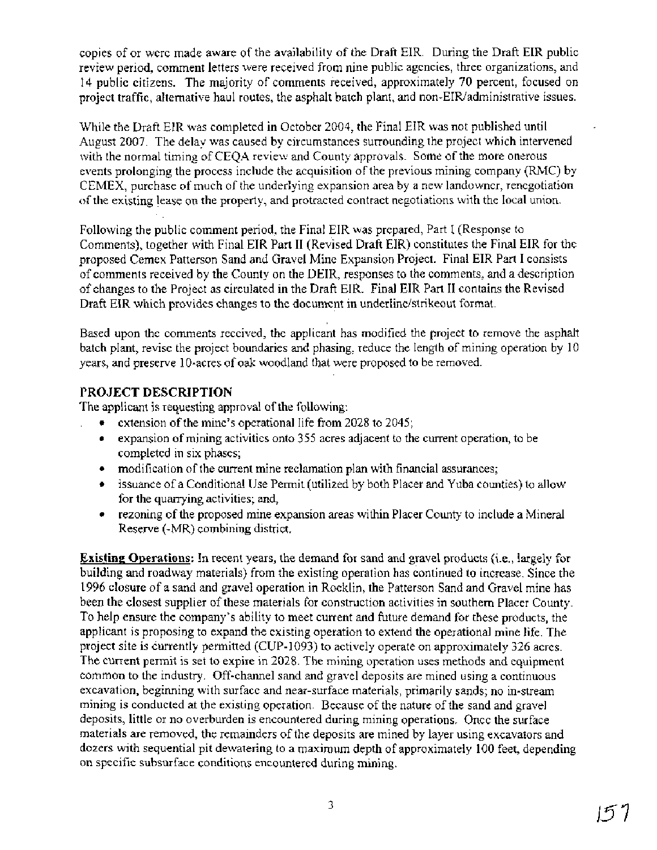copies of or were made aware of the availability of the Draft EIR. During the Draft EIR public review period, comment letters were received from nine public agencies, three organizations, and 14 public citizens. The majority of comments received, approximately 70 percent, focused on project traffic, alternative haul routes, the asphalt batch plant, and non-EIR/administrative issues.

While the Draft EIR was completed in October 2004, the Final EIR was not published until August 2007. The delay was caused by circumstances surrounding the project which intervened with the normal timing of CEQA review and County approvals. Some of the more onerous events prolonging the process include the acquisition of the previous mining company (RMC) by CEMEX, purchase of much of the underlying expansion area by a new landowner, renegotiation of the existing lease on the property, and protracted contract negotiations with the local union.

Following the public comment period, the Final EIR was prepared, Part I (Response to Comments), together with Final EIR Part II (Revised Draft EIR) constitutes the Final EIR for the proposed Cemex Patterson Sand and Gravel Mine Expansion Project. Final EIR Part I consists of comments received by the County on the DEIR, responses to the comments, and a description of changes to the Project as circulated in the Draft EIR. Final EIR Part I1 contains the Revised Draft EIR which provides changes to the document in underlinelstrikeout format.

Based upon the comments received, the applicant has modified the project to remove the asphalt batch plant, revise the project boundaries and phasing, reduce the length of mining operation by 10 years, and preserve 10-acres of oak woodland that were proposed to be removed.

## PROJECT DESCRIPTION

The applicant is requesting approval of the following:

- extension of the mine's operational life from 2028 to 2045;
- expansion of mining activities onto 355 acres adjacent to the current operation, to be completed in six phases;
- modification of the current mine reclamation plan with financial assurances;
- issuance of a Conditional Use Permit (utilized by both Placer and Yuba counties) to allow for the quarrying activities; and,
- rezoning of the proposed mine expansion areas within Placer County to include a Mineral Reserve (-MR) combining district.

**Existing Operations:** In recent years, the demand for sand and gravel products (i.e., largely for building and roadway materials) from the existing operation has continued to increase. Since the 1996 closure of a sand and gravel operation in Rocklin, the Patterson Sand and Gravel mine has been the closest supplier of these materials for construction activities in southern Placer County. To help ensure the company's ability to meet current and future demand for these products, the applicant is proposing to expand the existing operation to extend the operational mine life. The project site is currently permitted (CUP-1093) to actively operate on approximately 326 acres. The current permit is set to expire in 2028. The mining operation uses methods and equipment common to the industry. Off-channel sand and gravel deposits are mined using a continuous excavation, beginning with surface and near-surface materials, primarily sands; no in-stream mining is conducted at the existing operation. Because of the nature of the sand and gravel deposits, little or no overburden is encountered during mining operations. Once the surface materials are removed, the remainders of the deposits are mined by layer using excavators and dozers with sequential pit dewatering to a maximum depth of approximately 100 feet, depending on specific subsurface conditions encountered during mining.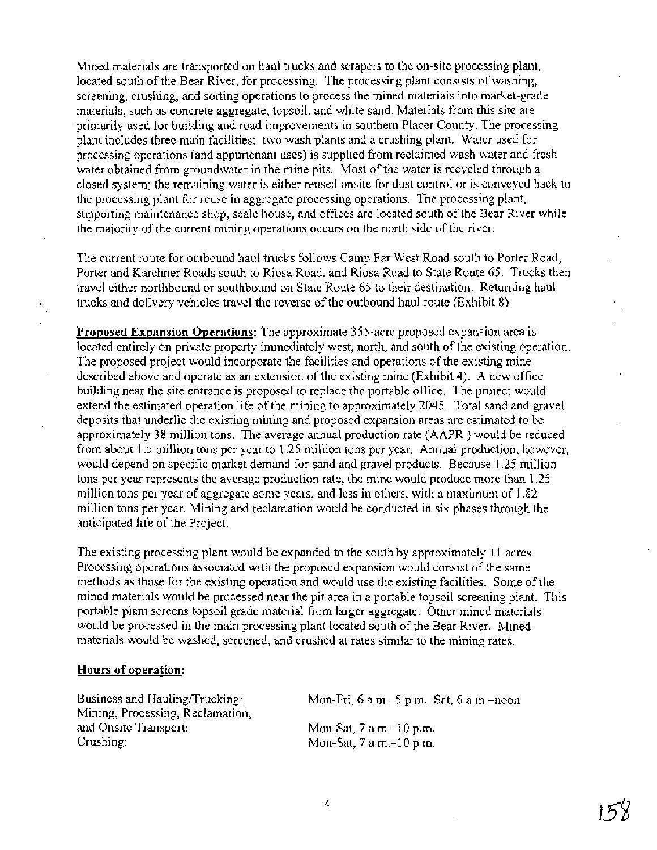Mined materials are transported on haul trucks and scrapers to the on-site processing plant, located south of the Bear River, for processing. The processing plant consists of washing, screening, crushing, and sorting operations to process the mined materials into market-grade materials, such as concrete aggregate, topsoil, and white sand. Materials from this site are primarily used for building and road improvements in southern Placer County. The processing plant includes three main facilities: two wash plants and a crushing plant. Water used for processing operations (and appurtenant uses) is supplied from reclaimed wash water and fresh water obtained from groundwater in the mine pits. Most of the water is recycled through a closed system; the remaining water is either reused onsite for dust control or is conveyed back to the processing plant for reuse in aggregate processing operations. The processing plant, supporting maintenance shop, scale house, and offices are located south of the Bear River while the majority of the current mining operations occurs on the north side of the river.

The current route for outbound haul trucks follows Camp Far West Road south to Porter Road, Porter and Karchner Roads south to Riosa Road, and Riosa Road to State Route 65. Trucks then travel either northbound or southbound on State Route 65 to their destination. Returning haul trucks and delivery vehicles travel the reverse of the outbound haul route (Exhibit 8).

**Proposed Expansion Operations:** The approximate 355-acre proposed expansion area is located entirely on private property immediately west, north, and south of the existing operation. The proposed project would incorporate the facilities and operations of the existing mine described above and operate as an extension of the existing mine (Exhibit 4). A new office building near the site entrance is proposed to replace the portable office. The project would extend the estimated operation life of the mining to approximately 2045. Total sand and gravel deposits that underlie the existing mining and proposed expansion areas are estimated to be approximately 38 million tons. The average annual production rate (AAPR ) would be reduced from about 1.5 million tons per year to 1.25 million tons per year. Annual production, however, would depend on specific market demand for sand and gravel products. Because 1.25 million tons per year represents the average production rate, the mine would produce more than 1.25 million tons per year of aggregate some years, and less in others, with a maximum of 1.82 million tons per year. Mining and reclamation would be conducted in six phases through the anticipated life of the Project.

The existing processing plant would be expanded to the south by approximately 11 acres. Processing operations associated with the proposed expansion would consist of the same methods as those for the existing operation and would use the existing facilities. Some of the mined materials would be processed near the pit area in a portable topsoil screening plant. This portable plant screens topsoil grade material from larger aggregate. Other mined materials would be processed in the main processing plant located south of the Bear River. Mined materials would be washed, screened, and crushed at rates similar to the mining rates.

#### **Hours of operation:**

| Business and Hauling/Trucking:   | Mon-Fri, $6$ a.m. $-5$ p.m. Sat, $6$ a.m. $-$ noon |
|----------------------------------|----------------------------------------------------|
| Mining, Processing, Reclamation, |                                                    |
| and Onsite Transport:            | Mon-Sat, $7$ a.m. $-10$ p.m.                       |
| Crushing:                        | Mon-Sat, $7$ a.m. $-10$ p.m.                       |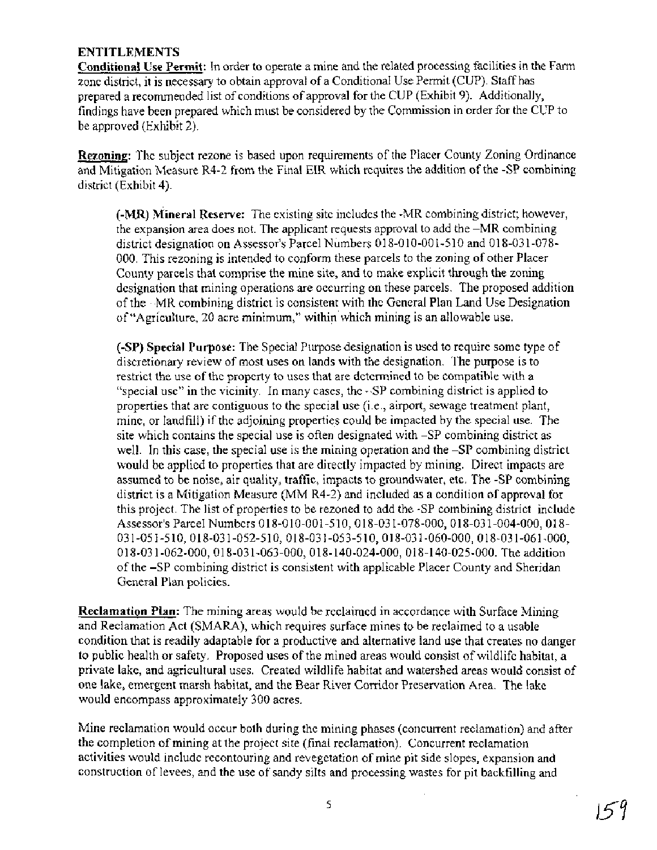## **ENTITLEMENTS**

**Conditional Use Permit:** In order to operate a mine and the related processing facilities in the Farm zone district, it is necessary to obtain approval of a Conditional Use Permit (CUP). Staff has prepared a recommended list of conditions of approval for the CUP (Exhibit 9). Additionally, findings have been prepared which must be considered by the Commission in order for the CUP to be approved (Exhibit 2).

**Rezoning:** The subject rezone is based upon requirements of the Placer County Zoning Ordinance and Mitigation Measure R4-2 from the Final EIR which requires the addition of the -SP combining district (Exhibit 4).

**(-MR) Mineral Reserve:** The existing site includes the -MR combining district; however, the expansion area does not. The applicant requests approval to add the -MR combining district designation on Assessor's Parcel Numbers 018-010-001-510 and 018-031-078-000. This rezoning is intended to conform these parcels to the zoning of other Placer County parcels that comprise the mine site, and to make explicit through the zoning designation that mining operations are occurring on these parcels. The proposed addition of the -MR combining district is consistent with the General Plan Land Use Designation of "Agriculture, 20 acre minimum," within'which mining is an allowable use.

**(-SP) Special Purpose:** The Special Purpose designation is used to require some type of discretionary review of most uses on lands with the designation. The purpose is to restrict the use of the property to uses that are determined to be compatible with a "special use" in the vicinity. In many cases, the -SP combining district is applied to properties that are contiguous to the special use (i.e., airport, sewage treatment plant, mine, or landfill) if the adjoining properties could be impacted by the special use. The site which contains the special use is often designated with -SP combining district as well. In this case, the special use is the mining operation and the -SP combining district would be applied to properties that are directly impacted by mining. Direct impacts are assumed to be noise, air quality, traffic, impacts to groundwater, etc. The -SP combining district is a Mitigation Measure (MM R4-2) and included as a condition of approval for this project. The list of properties to be rezoned to add the -SP combining district include Assessor's Parcel Numbers 018-010-001-510, 018-031-078-000, 018-031-004-000, 018-03 1-05 1-5 10, 018-03 1-052-5 10, 018-03 1-053-5 10,018-03 1-060-000,018-03 1-061-000, 01 8-03 1-062-000, 01 8-03 1-063-000, 01 8-140-024-000, 01 8-140-025-000. The addition of the -SP combining district is consistent with applicable Placer County and Sheridan General Plan policies.

**Reclamation Plan:** The mining areas would be reclaimed in accordance with Surface Mining and Reclamation Act (SMARA), which requires surface mines to be reclaimed to a usable condition that is readily adaptable for a productive and alternative land use that creates no danger to public health or safety. Proposed uses of the mined areas would consist of wildlife habitat, a private lake, and agricultural uses. Created wildlife habitat and watershed areas would consist of one lake, emergent marsh habitat, and the Bear River Corridor Preservation Area. The lake would encompass approximately 300 acres.

Mine reclamation would occur both during the mining phases (concurrent reclamation) and after the completion of mining at the project site (final reclamation). Concurrent reclamation activities would include recontouring and revegetation of mine pit side slopes, expansion and construction of levees, and the use of sandy silts and processing wastes for pit backfilling and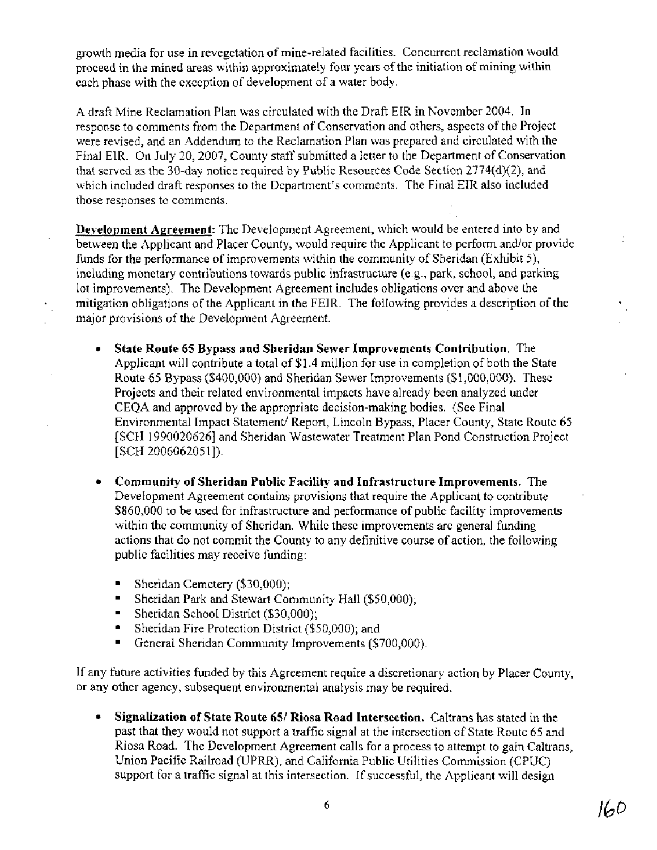growth media for use in revegetation of mine-related facilities. Concurrent reclamation would proceed in the mined areas within approximately four years of the initiation of mining within each phase with the exception of development of a water body.

A draft Mine Reclamation Plan was circulated with the Draft EIR in November 2004. In response to comments from the Department of Conservation and others, aspects of the Project were revised, and an Addendum to the Reclamation Plan was prepared and circulated with the Final EIR. On July 20,2007, County staff submitted a letter to the Department of Conservation that served as the 30-day notice required by Public Resources Code Section 2774(d)(2), and which included draft responses to the Department's comments. The Final EIR also included those responses to comments.

**Development Agreement:** The Development Agreement, which would be entered into by and between the Applicant and Placer County, would require the Applicant to perform and/or provide funds for the performance of improvements within the community of Sheridan (Exhibit 5), including monetary contributions towards public infrastructure (e.g., park, school, and parking lot improvements). The Development Agreement includes obligations over and above the mitigation obligations of the Applicant in the FEIR. The following provides a description of the major provisions of the Development Agreement.

- $\bullet$ **State Route 65 Bypass and Sheridan Sewer Improvements Contribution.** The Applicant will contribute a total of \$1.4 million for use in completion of both the State Route 65 Bypass (\$400,000) and Sheridan Sewer Improvements (\$1,000,000). These Projects and their related environmental impacts have already been analyzed under CEQA and approved by the appropriate decision-making bodies. (See Final Environmental Impact Statement/ Report, Lincoln Bypass, Placer County, State Route 65 [SCH 19900206261 and Sheridan Wastewater Treatment Plan Pond Construction Project  $[SCH 2006062051]$ .
- **Community of Sheridan Public Facility and Infrastructure Improvements.** The Development Agreement contains provisions that require the Applicant to contribute \$860,000 to be used for infrastructure and performance of public facility improvements within the community of Sheridan. While these improvements are general funding actions that do not commit the County to any definitive course of action, the following public facilities may receive funding:
	- Sheridan Cemetery (\$30,000);
	- Sheridan Park and Stewart Community Hall (\$50,000);
	- Sheridan School District (\$30,000);
	- Sheridan Fire Protection District (\$50,000); and
	- General Sheridan Community Improvements (\$700,000).

If any future activities funded by this Agreement require a discretionary action by Placer County, or any other agency, subsequent environmental analysis may be required.

**Signalization of State Route 651 Riosa Road Intersection.** Caltrans has stated in the past that they would not support a traffic signal at the intersection of State Route 65 and Riosa Road. The Development Agreement calls for a process to attempt to gain Caltrans, Union Pacific Railroad (UPRR), and California Public Utilities Commission (CPUC) support for a traffic signal at this intersection. If successful, the Applicant will design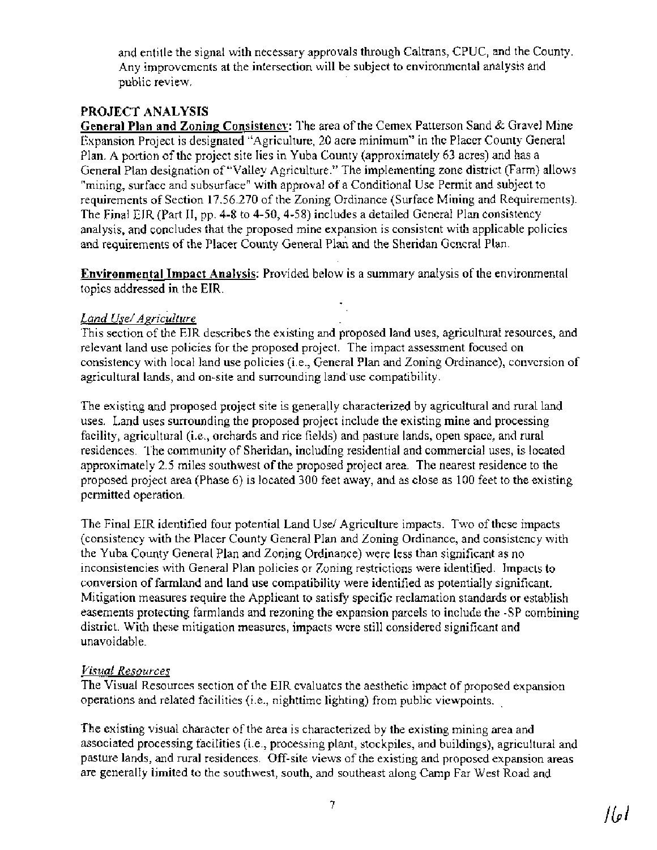and entitle the signal with necessary approvals through Caltrans, CPUC, and the County. Any improvements at the intersection will be subject to environmental analysis and public review.

## **PROJECT ANALYSIS**

**General Plan and Zoning Consistencv:** The area of the Cemex Patterson Sand & Gravel Mine Expansion Project is designated "Agriculture, 20 acre minimum" in the Placer County General Plan. A portion of the project site lies in Yuba County (approximately 63 acres) and has a General Plan designation of "Valley Agriculture." The implementing zone district (Farm) allows "mining, surface and subsurface" with approval of a Conditional Use Permit and subject to requirements of Section 17.56.270 of the Zoning Ordinance (Surface Mining and Requirements). The Final EIR (Part 11, pp. 4-8 to 4-50, 4-58) includes a detailed General Plan consistency analysis, and concludes that the proposed mine expansion is consistent with applicable policies and requirements of the Placer County General Plan and the Sheridan General Plan.

**Environmental Impact Analysis:** Provided below is a summary analysis of the environmental topics addressed in the EIR.

## *Land Use/ Agriculture*

This section of the EIR describes the existing and proposed land uses, agricultural resources, and relevant land use policies for the proposed project. The impact assessment focused on consistency with local land use policies (i.e., General Plan and Zoning Ordinance), conversion of agricultural lands, and on-site and surrounding land'use compatibility.

The existing and proposed project site is generally characterized by agricultural and rural land uses. Land uses surrounding the proposed project include the existing mine and processing facility, agricultural (i.e., orchards and rice fields) and pasture lands, open space, and rural residences. The community of Sheridan, including residential and commercial uses, is located approximately 2.5 miles southwest of the proposed project area. The nearest residence to the proposed project area (Phase 6) is located 300 feet away, and as close as 100 feet to the existing permitted operation.

The Final EIR identified four potential Land Use/Agriculture impacts. Two of these impacts (consistency with the Placer County General Plan and Zoning Ordinance, and consistency with the Yuba County General Plan and Zoning Ordinance) were less than significant as no inconsistencies with General Plan policies or Zoning restrictions were identified. Impacts to conversion of farmland and land use compatibility were identified as potentially significant. Mitigation measures require the Applicant to satisfy specific reclamation standards or establish easements protecting farmlands and rezoning the expansion parcels to include the -SP combining district. With these mitigation measures, impacts were still considered significant and unavoidable.

## *Visual Resources*

The Visual Resources section of the EIR evaluates the aesthetic impact of proposed expansion operations and related facilities (i.e., nighttime lighting) from public viewpoints. .

The existing visual character of the area is characterized by the existing mining area and associated processing facilities (i.e., processing plant, stockpiles, and buildings), agricultural and pasture lands, and rural residences. Off-site views of the existing and proposed expansion areas are generally limited to the southwest, south, and southeast along Camp Far West Road and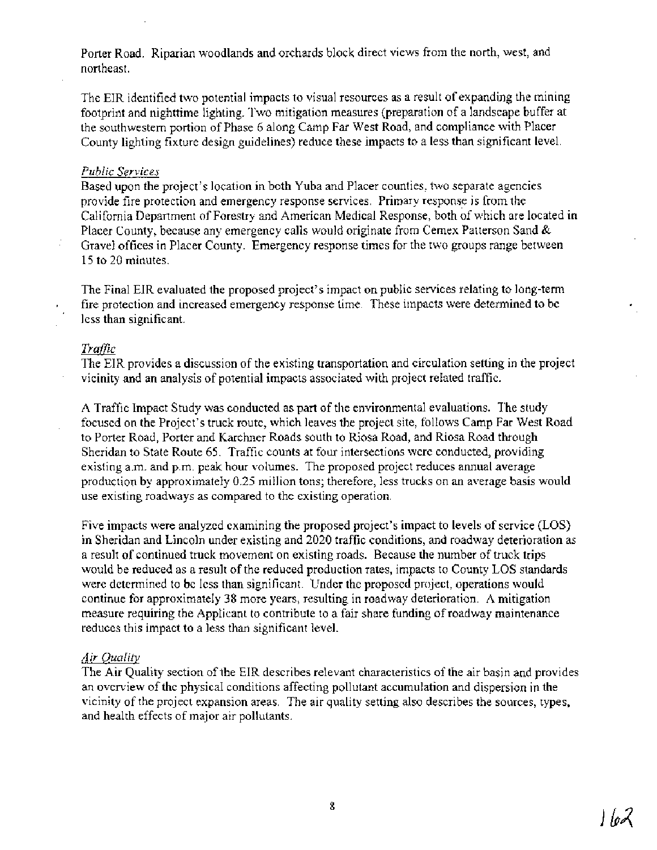Porter Road. Riparian woodlands and orchards block direct views from the north, west, and northeast.

The EIR identified two potential impacts to visual resources as a result of expanding the mining footprint and nighttime lighting. Two mitigation measures (preparation of a landscape buffer at the southwestern portion of Phase 6 along Camp Far West Road, and compliance with Placer County lighting fixture design guidelines) reduce these impacts to a less than significant level.

#### *Public Services*

Based upon the project's location in both Yuba and Placer counties, two separate agencies provide fire protection and emergency response services. Primary response is from the California Department of Forestry and American Medical Response, both of which are located in Placer County, because any emergency calls would originate from Cemex Patterson Sand & Gravel offices in Placer County. Emergency response times for the two groups range between 15 to 20 minutes.

The Final EIR evaluated the proposed project's impact on public services relating to long-term . fire protection and increased emergency response time. These impacts were determined to be less than significant.

#### *Traffic*

The EIR provides a discussion of the existing transportation and circulation setting in the project vicinity and an analysis of potential impacts associated with project related traffic.

A Traffic Impact Study was conducted as part of the environmental evaluations. The study focused on the Project's truck route, which leaves the project site, follows Camp Far West Road to Porter Road, Porter and Karchner Roads south to Riosa Road, and Riosa Road through Sheridan to State Route 65. Traffic counts at four intersections were conducted, providing existing a.m. and p.m. peak hour volumes. The proposed project reduces annual average production by approximately 0.25 million tons; therefore, less trucks on an average basis would use existing roadways as compared to the existing operation.

Five impacts were analyzed examining the proposed project's impact to levels of service (LOS) in Sheridan and Lincoln under existing and 2020 traffic conditions, and roadway deterioration as a result of continued truck movement on existing roads. Because the number of truck trips would be reduced as a result of the reduced production rates, impacts to County LOS standards were determined to be less than significant. Under the proposed project, operations would continue for approximately 38 more years, resulting in roadway deterioration. A mitigation measure requiring the Applicant to contribute to a fair share funding of roadway maintenance reduces this impact to a less than significant level.

#### *Air Ouality*

The Air Quality section of the EIR describes relevant characteristics of the air basin and provides an overview of the physical conditions affecting pollutant accumulation and dispersion in the vicinity of the project expansion areas. The air quality setting also describes the sources, types, and health effects of major air pollutants.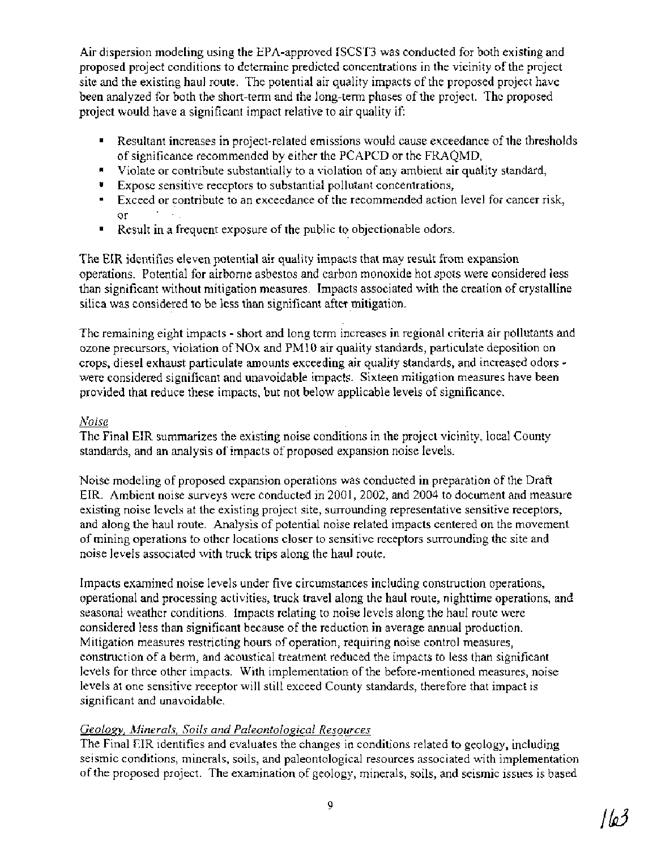Air dispersion modeling using the EPA-approved ISCST3 was conducted for both existing and proposed project conditions to determine predicted concentrations in the vicinity of the project site and the existing haul route. The potential air quality impacts of the proposed project have been analyzed for both the short-term and the long-term phases of the project. The proposed project would have a significant impact relative to air quality if:

- Resultant increases in project-related emissions would cause exceedance of the thresholds of significance recommended by either the PCAPCD or the FRAQMD,
- Violate or contribute substantially to a violation of any ambient air quality standard,
- Expose sensitive receptors to substantial pollutant concentrations,
- Exceed or contribute to an exceedance of the recommended action level for cancer risk, or
- Result in a frequent exposure of the public to objectionable odors.  $\blacksquare$

The EIR identifies eleven potential air quality impacts that may result from expansion operations. Potential for airborne asbestos and carbon monoxide hot spots were considered less than significant without mitigation measures. Impacts associated with the creation of crystalline silica was considered to be less than significant after mitigation.

The remaining eight impacts - short and long term increases in regional criteria air pollutants and ozone precursors, violation of NOx and PMlO air quality standards, particulate deposition on crops, diesel exhaust particulate amounts exceeding air quality standards, and increased odors were considered significant and unavoidable impacts. Sixteen mitigation measures have been provided that reduce these impacts, but not below applicable levels of significance.

## *Noise*

The Final *EIR* summarizes the existing noise conditions in the project vicinity, local County standards, and an analysis of impacts of proposed expansion noise levels.

Noise modeling of proposed expansion operations was conducted in preparation of the Draft EIR. Ambient noise surveys were conducted in 2001, 2002, and 2004 to document and measure existing noise levels at the existing project site, surrounding representative sensitive receptors, and along the haul route. Analysis of potential noise related impacts centered on the movement of mining operations to other locations closer to sensitive receptors surrounding the site and noise levels associated with truck trips along the haul route.

Impacts examined noise levels under five circumstances including construction operations, operational and processing activities, truck travel along the haul route, nighttime operations, and seasonal weather conditions. Impacts relating to noise levels along the haul route were considered less than significant because of the reduction in average annual production. Mitigation measures restricting hours of operation, requiring noise control measures, construction of a berm, and acoustical treatment reduced the impacts to less than significant levels for three other impacts. With implementation of the before-mentioned measures, noise levels at one sensitive receptor will still exceed County standards, therefore that impact is significant and unavoidable.

## *Geology, Minerals, Soils and Paleontological Resources*

The Final EIR identifies and evaluates the changes in conditions related to geology, including seismic conditions, minerals, soils, and paleontological resources associated with implementation of the proposed project. The examination of geology, minerals, soils, and seismic issues is based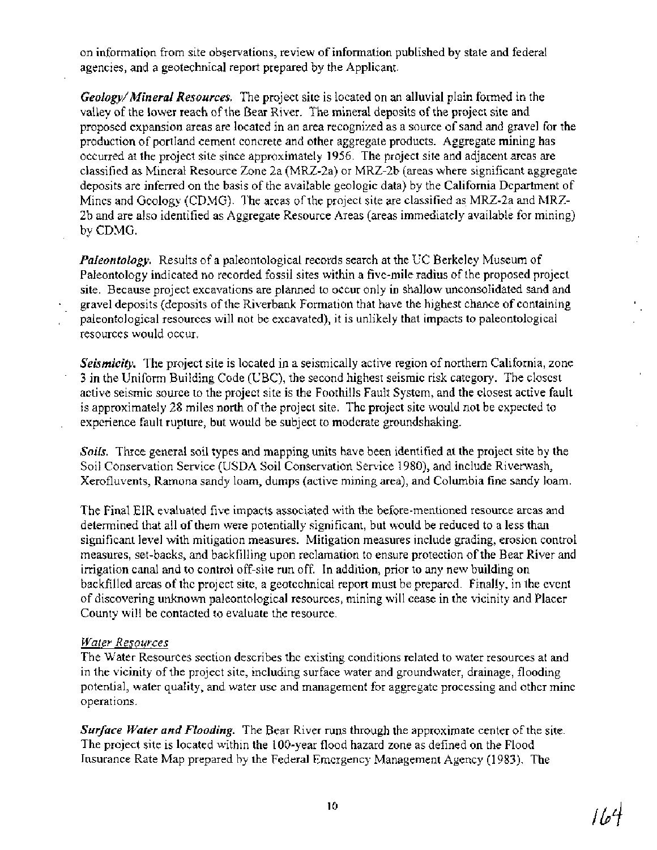on information from site observations, review of information published by state and federal agencies, and a geotechnical report prepared by the Applicant.

*Geology/Mineral Resources.* The project site is located on an alluvial plain formed in the valley of the lower reach of the Bear River. The mineral deposits of the project site and proposed expansion areas are located in an area recognized as a source of sand and gravel for the production of portland cement concrete and other aggregate products. Aggregate mining has occurred at the project site since approximately 1956. The project site and adjacent areas are classified as Mineral Resource Zone 2a (ME-2a) or MRZ-2b (areas where significant aggregate deposits are inferred on the basis of the available geologic data) by the California Department of Mines and Geology (CDMG). The areas of the project site are classified as MRZ-2a and MRZ-2b and are also identified as Aggregate Resource Areas (areas immediately available for mining) by CDMG.

*Paleontology.* Results of a paleontological records search at the UC Berkeley Museum of Paleontology indicated no recorded fossil sites within a five-mile radius of the proposed project site. Because project excavations are planned to occur only in shallow unconsolidated sand and gravel deposits (deposits of the Riverbank Formation that have the highest chance of containing paleontological resources will not be excavated), it is unlikely that impacts to paleontological resources would occur.

*Seismicity.* The project site is located in a seismically active region of northern California, zone 3 in the Uniform Building Code (UBC), the second highest seismic risk category. The closest active seismic source to the project site is the Foothills Fault System, and the closest active fault is approximately 28 miles north of the project site. The project site would not be expected to experience fault rupture, but would be subject to moderate groundshaking.

*Soils.* Three general soil types and mapping units have been identified at the project site by the Soil Conservation Service (USDA Soil Conservation Service 1980), and include Riverwash, Xerofluvents, Ramona sandy loam, dumps (active mining area), and Columbia fine sandy loam.

The Final EIR evaluated five impacts associated with the before-mentioned resource areas and determined that all of them were potentially significant, but would be reduced to a less than significant level with mitigation measures. Mitigation measures include grading, erosion control measures, set-backs, and backfilling upon reclamation to ensure protection of the Bear River and irrigation canal and to control off-site run off. In addition, prior to any new building on backfilled areas of the project site, a geotechnical report must be prepared. Finally, in the event of discovering unknown paleontological resources, mining will cease in the vicinity and Placer County will be contacted to evaluate the resource.

#### *Water Resources*

The Water Resources section describes the existing conditions related to water resources at and in the vicinity of the project site, including surface water and groundwater, drainage, flooding potential, water quality, and water use and management for aggregate processing and other mine operations.

*Surface Water and Flooding.* The Bear River runs through the approximate center of the site. The project site is located within the 100-year flood hazard zone as defined on the Flood Insurance Rate Map prepared by the Federal Emergency Management Agency (1983). The

4/16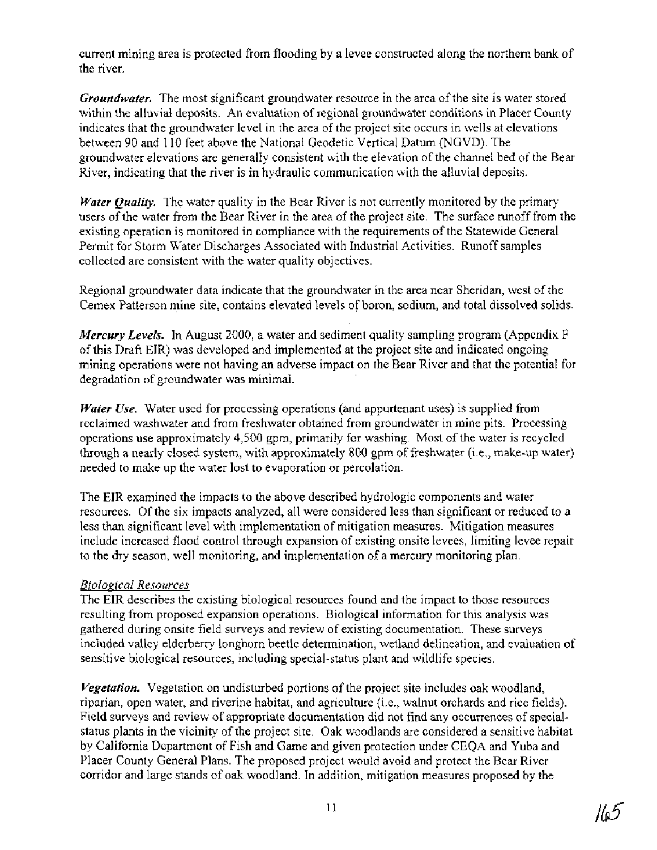current mining area is protected from flooding by a levee constructed along the northern bank of the river.

*Groundwater.* The most significant groundwater resource in the area of the site is water stored within the alluvial deposits. An evaluation of regional groundwater conditions in Placer County indicates that the groundwater level in the area of the project site occurs in wells at elevations between 90 and 110 feet above the National Geodetic Vertical Datum (NGVD). The groundwater elevations are generally consistent with the elevation of the channel bed of the Bear River, indicating that the river is in hydraulic communication with the alluvial deposits.

*Water Quality.* The water quality in the Bear River is not currently monitored by the primary users of the water from the Bear River in the area of the project site. The surface runoff from the existing operation is monitored in compliance with the requirements of the Statewide General Permit for Storm Water Discharges Associated with industrial Activities. Runoff samples collected are consistent with the water quality objectives.

Regional groundwater data indicate that the groundwater in the area near Sheridan, west of the Cemex Patterson mine site, contains elevated levels **of** boron, sodium, and total dissolved solids.

*Mercury Levels.* In August 2000, a water and sediment quality sampling program (Appendix F) of this Draft EIR) was developed and implemented at the project site and indicated ongoing mining operations were not having an adverse impact on the Bear River and that the potential for degradation of groundwater was minimal.

*Water Use.* Water used for processing operations (and appurtenant uses) is supplied from reclaimed washwater and from freshwater obtained from groundwater in mine pits. Processing operations use approximately 4,500 gpm, primarily for washing. Most of the water is recycled through a nearly closed system, with approximately 800 gpm of freshwater (i.e., make-up water) needed to make up the water lost to evaporation or percolation.

The EIR examined the impacts to the above described hydrologic components and water resources. Of the six impacts analyzed, all were considered less than significant or reduced to a less than significant level with implementation of mitigation measures. Mitigation measures include increased flood control through expansion of existing onsite levees, limiting levee repair to the dry season, well monitoring, and implementation of a mercury monitoring plan.

## *Biolonical Resources*

The EIR describes the existing biological resources found and the impact to those resources resulting from proposed expansion operations. Biological information for this analysis was gathered during onsite field surveys and review of existing documentation. These surveys included valley elderberry longhorn beetle determination, wetland delineation, and evaluation of sensitive biological resources, including special-status plant and wildlife species.

*Vegetation.* Vegetation on undisturbed portions of the project site includes oak woodland, riparian, open water, and riverine habitat, and agriculture (i.e., walnut orchards and rice fields). Field surveys and review of appropriate documentation did not find any occurrences of specialstatus plants in the vicinity of the project site. Oak woodlands are considered a sensitive habitat by California Department of Fish and Game and given protection under CEQA and Yuba and Placer County General Plans. The proposed project would avoid and protect the Bear River corridor and large stands of oak woodland. In addition, mitigation measures proposed by the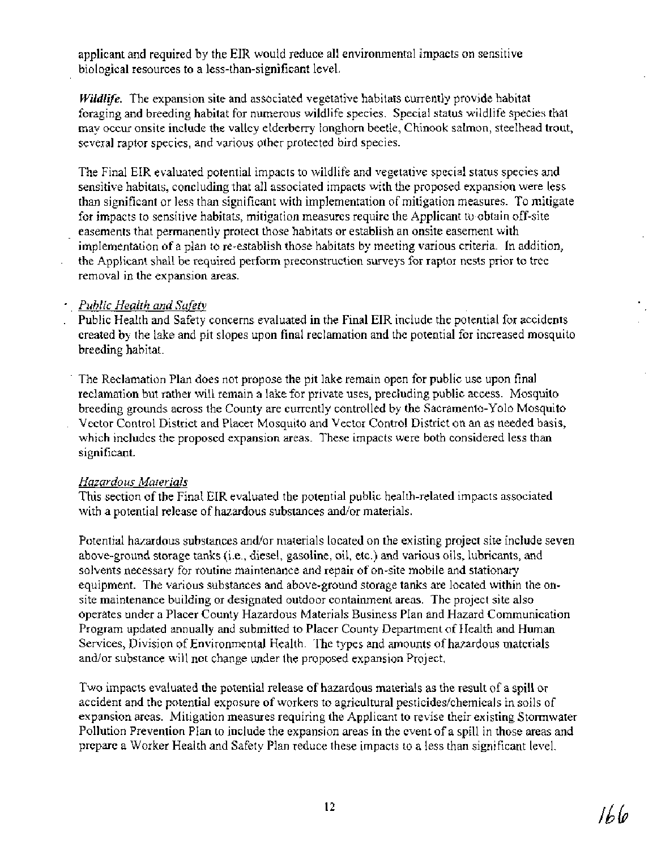applicant and required by the EIR would reduce all environmental impacts on sensitive biological resources to a less-than-significant level.

Wildlife. The expansion site and associated vegetative habitats currently provide habitat foraging and breeding habitat for numerous wildlife species. Special status wildlife species that may occur onsite include the valley elderberry longhorn beetle, Chinook salmon, steelhead trout, several raptor species, and various other protected bird species.

The Final EIR evaluated potential impacts to wildlife and vegetative special status species and sensitive habitats, concluding that all associated impacts with the proposed expansion were less than significant or less than significant with implementation of mitigation measures. To mitigate for impacts to sensitive habitats, mitigation measures require the Applicant to obtain off-site easements that permanently protect those habitats or establish an onsite easement with implementation of a plan to re-establish those habitats by meeting various criteria. In addition, the Applicant shall be required perform preconstruction surveys for raptor nests prior to tree removal in the expansion areas.

#### *Public Health and Safety*

- Public Health and Safety concerns evaluated in the Final EIR include the potential for accidents created by the lake and pit slopes upon final reclamation and the potential for increased mosquito breeding habitat.
- ' The Reclamation Plan does not propose the pit lake remain open for public use upon final reclamation but rather will remain a lake for private uses, precluding public access. Mosquito breeding grounds across the County are currently controlled by the Sacramento-Yolo Mosquito . Vector Control District and Placer Mosquito and Vector Control District on an as needed basis, which includes the proposed expansion areas. These impacts were both considered less than significant.

## *Hazardous Materials*

This section of the Final EIR evaluated the potential public health-related impacts associated with a potential release of hazardous substances and/or materials.

Potential hazardous substances and/or materials located on the existing project site include seven above-ground storage tanks (i.e., diesel, gasoline, oil, etc.) and various oils, lubricants, and solvents necessary for routine maintenance and repair of on-site mobile and stationary equipment. The various substances and above-ground storage tanks are located within the onsite maintenance building or designated outdoor containment areas. The project site also operates under a Placer County Hazardous Materials Business Plan and Hazard Communication Program updated annually and submitted to Placer County Department of Health and Human Services, Division of Environmental Health. The types and amounts of hazardous materials and/or substance will not change under the proposed expansion Project.

Two impacts evaluated the potential release of hazardous materials as the result of a spill or accident and the potential exposure of workers to agricultural pesticides/chemicals in soils of expansion areas. Mitigation measures requiring the Applicant to revise their existing Stormwater Pollution Prevention Plan to include the expansion areas in the event of a spill in those areas and prepare a Worker Health and Safety Plan reduce these impacts to a less than significant level.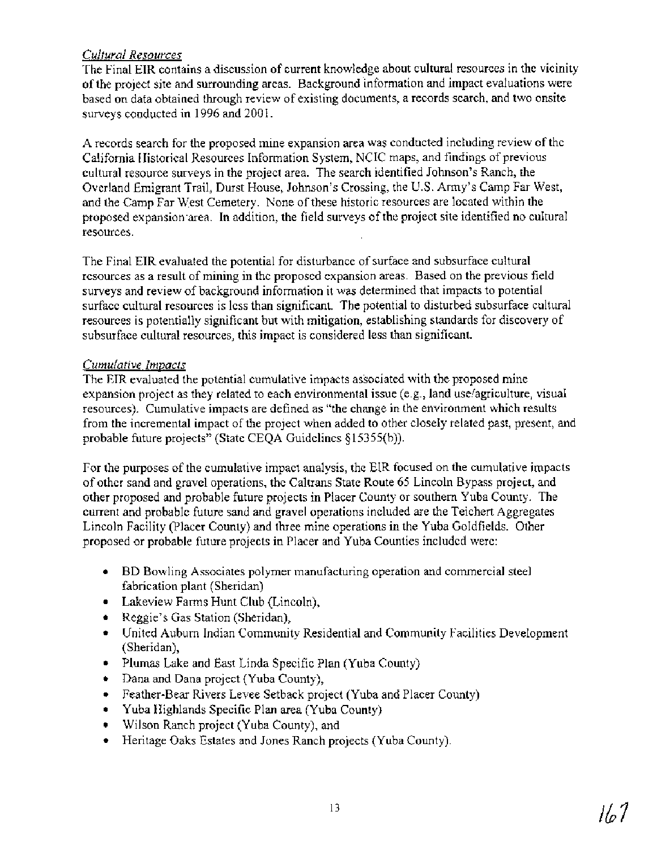## *Cultural Resources*

The Final EIR contains a discussion of current knowledge about cultural resources in the vicinity of the project site and surrounding areas. Background information and impact evaluations were based on data obtained through review of existing documents, a records search, and two onsite surveys conducted in 1996 and 2001.

A records search for the proposed mine expansion area was conducted including review of the California Historical Resources Information System, NCIC maps, and findings of previous cultural resource surveys in the project area. The search identified Johnson's Ranch, the Overland Emigrant Trail, Durst House, Johnson's Crossing, the U.S. Army's Camp Far West, and the Camp Far West Cemetery. None of these historic resources are located within the proposed expansion area. In addition, the field surveys of the project site identified no cultural resources.

The Final EIR evaluated the potential for disturbance of surface and subsurface cultural resources as a result of mining in the proposed expansion areas. Based on the previous field surveys and review of background information it was determined that impacts to potential surface cultural resources is less than significant. The potential to disturbed subsurface cultural resources is potentially significant but with mitigation, establishing standards for discovery of subsurface cultural resources, this impact is considered less than significant.

## *Cumulative Impacts*

The EIR evaluated the potential cumulative impacts associated with the proposed mine expansion project as they related to each environmental issue (e.g., land use/agriculture, visual resources). Cumulative impacts are defined as "the change in the environment which results from the incremental impact of the project when added to other closely related past, present, and probable future projects" (State CEQA Guidelines §15355(b)).

For the purposes of the cumulative impact analysis, the EIR focused on the cumulative impacts of other sand and gravel operations, the Caltrans State Route 65 Lincoln Bypass project, and other proposed and probable future projects in Placer County or southern Yuba County. The current and probable future sand and gravel operations included are the Teichert Aggregates Lincoln Facility (Placer County) and three mine operations in the Yuba Goldfields. Other proposed or probable future projects in Placer and Yuba Counties included were:

- BD Bowling Associates polymer manufacturing operation and commercial steel fabrication plant (Sheridan)
- **•** Lakeview Farms Hunt Club (Lincoln),
- Reggie's Gas Station (Sheridan),
- United Auburn Indian Community Residential and Community Facilities Development (Sheridan),
- Plumas Lake and East Linda Specific Plan (Yuba County)
- Dana and Dana project (Yuba County),  $\bullet$
- Feather-Bear Rivers Levee Setback project (Yuba and Placer County)
- Yuba Highlands Specific Plan area (Yuba County)  $\bullet$
- Wilson Ranch project (Yuba County), and
- Heritage Oaks Estates and Jones Ranch projects (Yuba County).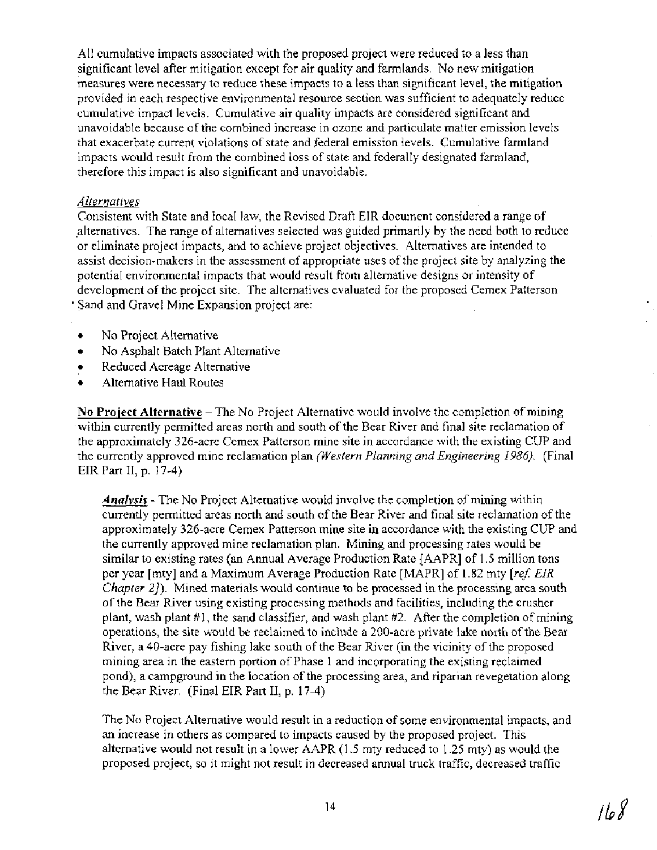All cumulative impacts associated with the proposed project were reduced to a less than significant level after mitigation except for air quality and farmlands. No new mitigation measures were necessary to reduce these impacts to a less than significant level, the mitigation provided in each respective environmental resource section was sufficient to adequately reduce cumulative impact levels. Cumulative air quality impacts are considered significant and unavoidable because of the combined increase in ozone and particulate matter emission levels that exacerbate current violations of state and federal emission levels. Cumulative farmland impacts would result from the combined loss of state and federally designated farmland, therefore this impact is also significant and unavoidable.

#### Alternatives

Consistent with State and local law, the Revised Draft EIR document considered a range of .alternatives. The range of alternatives selected was guided primarily by the need both to reduce or eliminate project impacts, and to achieve project objectives. Alternatives are intended to assist decision-makers in the assessment of appropriate uses of the project site by analyzing the potential environmental impacts that would result from alternative designs or intensity of development of the project site. The alternatives evaluated for the proposed Cemex Patterson Sand and Gravel Mine Expansion project are:

- No Project Alternative ۰
- No Asphalt Batch Plant Alternative  $\bullet$
- Reduced Acreage Alternative  $\bullet$
- Alternative Haul Routes

**No Project Alternative** – The No Project Alternative would involve the completion of mining within currently permitted areas north and south of the Bear River and final site reclamation of the approximately 326-acre Cemex Patterson mine site in accordance with the existing CUP and the currently approved mine reclamation plan (Western Planning and Engineering *1986).* (Final EIR Part 11, p. 17-4)

*Analvsis* - The No Project Alternative would involve the completion of mining within currently permitted areas north and south of the Bear River and final site reclamation of the approximately 326-acre Cemex Patterson mine site in accordance with the existing CUP and the currently approved mine reclamation plan. Mining and processing rates would be similar to existing rates (an Annual Average Production Rate [AAPR] of 1.5 million tons per year [mty] and a Maximum Average Production Rate [MAPR] of 1.82 mty [ref. EIR] *Chapter 27*). Mined materials would continue to be processed in the processing area south of the Bear River using existing processing methods and facilities, including the crusher plant, wash plant #I, the sand classifier, and wash plant #2. After the completion of mining operations, the site would be reclaimed to include a 200-acre private lake north of the Bear River, a 40-acre pay fishing lake south of the Bear River (in the vicinity of the proposed mining area in the eastern portion of Phase 1 and incorporating the existing reclaimed pond), a campground in the location of the processing area, and riparian revegetation along the Bear River. (Final EIR Part 11, p. 17-4)

The No Project Alternative would result in a reduction of some environmental impacts, and an increase in others as compared to impacts caused by the proposed project. This alternative would not result in a lower AAPR (1.5 mty reduced to 1.25 mty) as would the proposed project, so it might not result in decreased annual truck traffic, decreased traffic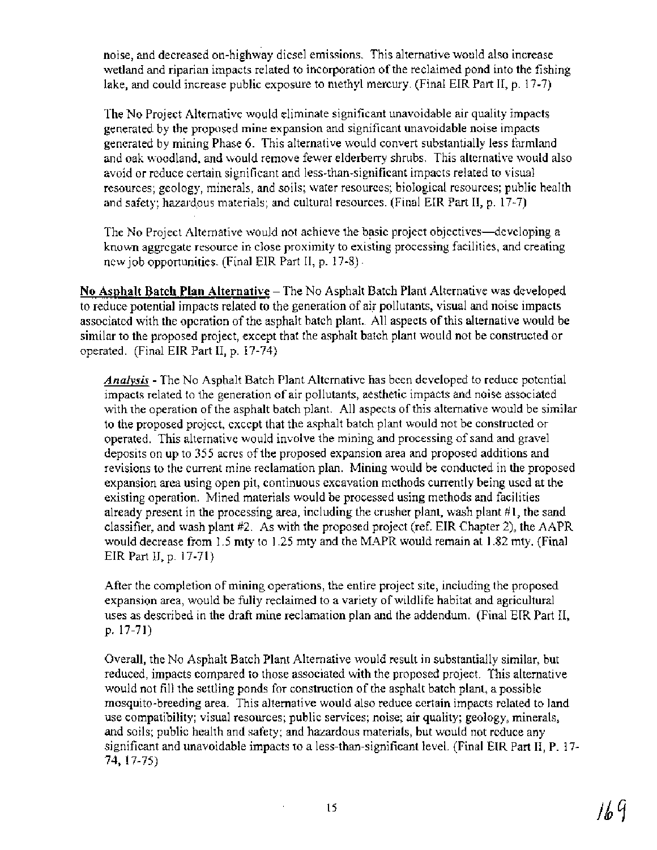noise, and decreased on-highway diesel emissions. This alternative would also increase wetland and riparian impacts related to incorporation of the reclaimed pond into the fishing lake, and could increase public exposure to methyl mercury. (Final EIR Part 11, p. 17-7)

The No Project Alternative would eliminate significant unavoidable air quality impacts generated by the proposed mine expansion and significant unavoidable noise impacts generated by mining Phase 6. This alternative would convert substantially less farmland and oak woodland, and would remove fewer elderberry shrubs. This alternative would also avoid or reduce certain significant and less-than-significant impacts related to visual resources; geology, minerals, and soils; water resources; biological resources; public health and safety; hazardous materials; and cultural resources. (Final EIR Part 11, p. 17-7)

The No Project Alternative would not achieve the basic project objectives—developing a known aggregate resource in close proximity to existing processing facilities, and creating new job opportunities. (Final EIR Part 11, p. 17-8)

**No Asphalt Batch Plan Alternative** – The No Asphalt Batch Plant Alternative was developed to reduce potential impacts related to the generation of air pollutants, visual and noise impacts associated with the operation of the asphalt batch plant.. All aspects of this alternative would be similar to the proposed project, except that the asphalt batch plant would not be constructed or operated. (Final EIR Part 11, p. 17-74)

*Analysis* - The No Asphalt Batch Plant Alternative has been developed to reduce potential impacts related to the generation of air pollutants, aesthetic impacts and noise associated with the operation of the asphalt batch plant. All aspects of this alternative would be similar to the proposed project, except that the asphalt batch plant would not be constructed or operated. This alternative would involve the mining and processing of sand and gravel deposits on up to 355 acres of the proposed expansion area and proposed additions and revisions to the current mine reclamation plan. Mining would be conducted in the proposed expansion area using open pit, continuous excavation methods currently being used at the existing operation. Mined materials would be processed using methods and facilities already present in the processing area, including the crusher plant, wash plant  $\#1$ , the sand classifier, and wash plant #2. As with the proposed project (ref. EIR Chapter 2), the AAPR would decrease from 1.5 mty to 1.25 mty and the MAPR would remain at 1.82 mty. (Final EIR Part II, p. 17-71)

After the completion of mining operations, the entire project site, including the proposed expansion area, would be fully reclaimed to a variety of wildlife habitat and agricultural uses as described in the draft mine reclamation plan and the addendum. (Final EIR Part 11, p. 17-71)

Overall, the No Asphalt Batch Plant Alternative would result in substantially similar, but reduced, impacts compared to those associated with the proposed project. This alternative would not fill the settling ponds for construction of the asphalt batch plant, a possible mosquito-breeding area. This alternative would also reduce certain impacts related to land use compatibility; visual resources; public services; noise; air quality; geology, minerals, and soils; public health and safety; and hazardous materials, but would not reduce any significant and unavoidable impacts to a less-than-significant level. (Final EIR Part 11, P. 17- 74, 17-75)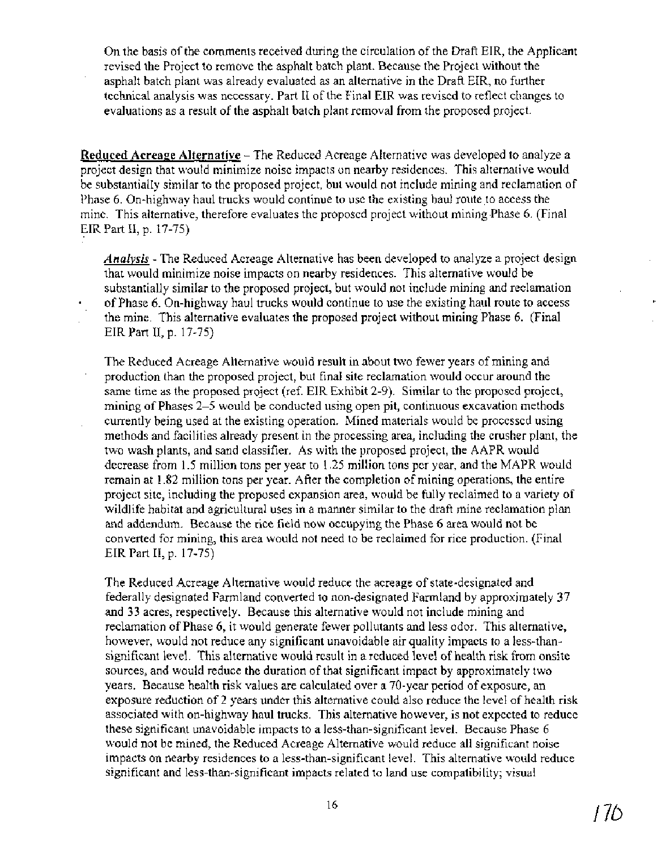On the basis of the comments received during the circulation of the Draft EIR, the Applicant revised the Project to remove the asphalt batch plant. Because the Project without the asphalt batch plant was already evaluated as an alternative in the Draft EIR, no further technical analysis was necessary. Part I1 of the Final EIR was revised to reflect changes to evaluations as a result of the asphalt batch plant removal from the proposed project.

**Reduced Acreage Alternative** - The Reduced Acreage Alternative was developed to analyze a project design that would minimize noise impacts on nearby residences. This alternative would be substantially similar to the proposed project, but would not include mining and reclamation of Phase 6. On-highway haul trucks would continue to use the existing haul route to access the mine. This alternative, therefore evaluates the proposed project without mining Phase 6. (Final EIR Part II, p. 17-75)

**Analysis** - The Reduced Acreage Alternative has been developed to analyze a project design that would minimize noise impacts on nearby residences. This alternative would be substantially similar to the proposed project, but would not include mining and reclamation of Phase 6. On-highway haul trucks would continue to use the existing haul route to access the mine. This alternative evaluates the proposed project without mining Phase 6. (Final EIR Part II, p. 17-75)

The Reduced Acreage Alternative would result in about two fewer years of mining and production than the proposed project, but final site reclamation would occur around the same time as the proposed project (ref. EIR Exhibit 2-9). Similar to the proposed project, mining of Phases 2-5 would be conducted using open pit, continuous excavation methods currently being used at the existing operation. Mined materials would be processed using methods and facilities already present in the processing area, including the crusher plant, the two wash plants, and sand classifier. As with the proposed project, the AAPR would decrease from 1.5 million tons per year to 1.25 million tons per year, and the MAPR would remain at 1.82 million tons per year. After the completion of mining operations, the entire project site, including the proposed expansion area, would be fully reclaimed to a variety of wildlife habitat and agricultural uses in a manner similar to the draft mine reclamation plan and addendum. Because the rice field now occupying the Phase 6 area would not be converted for mining, this area would not need to be reclaimed for rice production. (Final EIR Part 11, p. 17-75)

The Reduced Acreage Alternative would reduce the acreage of state-designated and federally designated Farmland converted to non-designated Farmland by approximately 37 and 33 acres, respectively. Because this alternative would not include mining and reclamation of Phase 6, it would generate fewer pollutants and less odor. This alternative, however, would not reduce any significant unavoidable air quality impacts to a less-thansignificant level. This alternative would result in a reduced level of health risk from onsite sources, and would reduce the duration of that significant impact by approximately two years. Because health risk values are calculated over a 70-year period of exposure, an exposure reduction of 2 years under this alternative could also reduce the level of health risk associated with on-highway haul trucks. This alternative however, is not expected to reduce these significant unavoidable impacts to a less-than-significant level. Because Phase 6 would not be mined, the Reduced Acreage Alternative would reduce all significant noise impacts on nearby residences to a less-than-significant level. This alternative would reduce significant and less-than-significant impacts related to land use compatibility; visual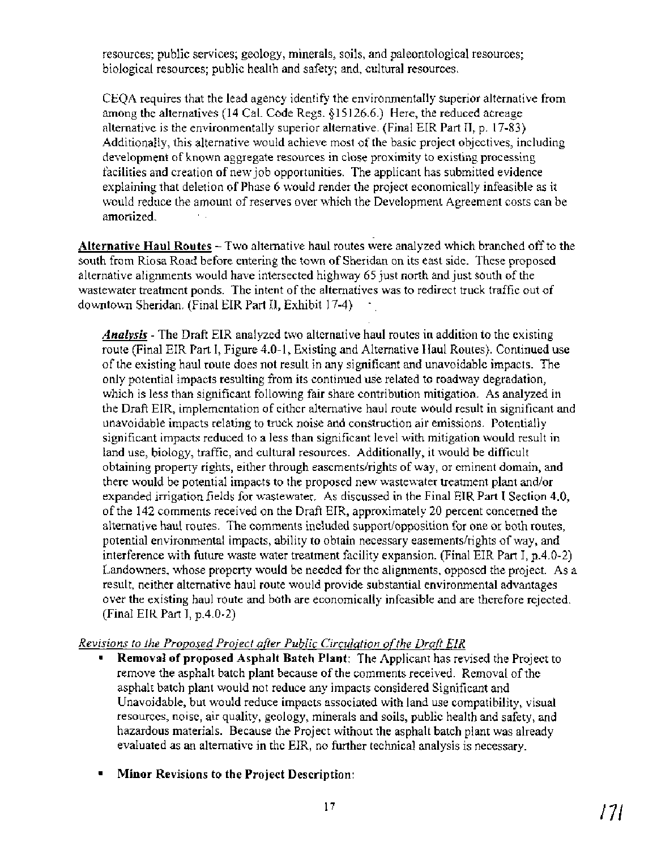resources; public services; geology, minerals, soils, and paleontological resources; biological resources; public health and safety; and, cultural resources.

CEQA requires that the lead agency identify the environmentally superior alternative from among the alternatives (14 Cal. Code Regs. \$15 126.6.) Here, the reduced acreage alternative is the environmentally superior alternative. (Final EIR Part 11, p. 17-83) Additionally, this alternative would achieve most of the basic project objectives, including development of known aggregate resources in close proximity to existing processing facilities and creation of new job opportunities. The applicant has submitted evidence explaining that deletion of Phase 6 would render the project economically infeasible as it would reduce the amount of reserves over which the Development Agreement costs can be amortized.

**Alternative Haul Routes** - Two alternative haul routes were analyzed which branched off to the south from Riosa Road before entering the town of Sheridan on its east side. These proposed alternative alignments would have intersected highway *65* just north and just south of the wastewater treatment ponds. The intent of the alternatives was to redirect truck traffic out of downtown Sheridan. (Final EIR Part II, Exhibit 17-4)

*Analvsis* - The Draft EIR analyzed two alternative haul routes in addition to the existing route (Final EIR Part I, Figure 4.0-1, Existing and Alternative Haul Routes). Continued use of the existing haul route does not result in any significant and unavoidable impacts. The only potential impacts resulting from its continued use related to roadway degradation, which is less than significant following fair share contribution mitigation. As analyzed in the Draft EIR, implementation of either alternative haul route would result in significant and unavoidable impacts relating to truck noise and construction air emissions. Potentially significant impacts reduced to a less than significant level with mitigation would result in land use, biology, traffic, and cultural resources. Additionally, it would be difficult obtaining property rights, either through easementslrights of way, or eminent domain, and there would be potential impacts to the proposed new wastewater treatment plant and/or expanded irrigation fields for wastewater. As discussed in the Final EIR Part I Section 4.0, of the 142 comments received on the Draft EIR, approximately 20 percent concerned the alternative haul routes. The comments included support/opposition for one or both routes, potential environmental impacts, ability to obtain necessary easementslrights of way, and interference with future waste water treatment facility expansion. (Final EIR Part I, p.4.0-2) Landowners, whose property would be needed for the alignments, opposed the project. As a result, neither alternative haul route would provide substantial environmental advantages over the existing haul route and both are economically infeasible and are therefore rejected. (Final EIR Part I, p.4.0-2)

## *Revisions to the Proposed Project after Public Circulation of the Draft EIR*

- **Removal of proposed Asphalt Batch Plant:** The Applicant has revised the Project to remove the asphalt batch plant because of the comments received. Removal of the asphalt batch plant would not reduce any impacts considered Significant and Unavoidable, but would reduce impacts associated with land use compatibility, visual resources, noise, air quality, geology, minerals and soils, public health and safety, and hazardous materials. Because the Project without the asphalt batch plant was already evaluated as an alternative in the EIR, no further technical analysis is necessary.
- **Minor Revisions to the Project Description:**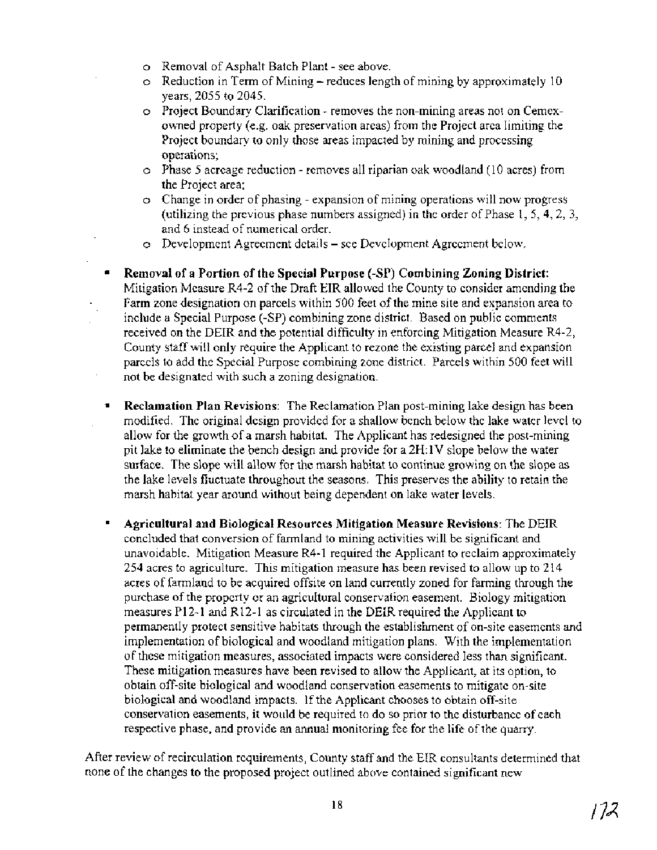- o Removal of Asphalt Batch Plant see above.
- $\circ$  Reduction in Term of Mining reduces length of mining by approximately 10 years, 2055 to 2045.
- o Project Boundary Clarification removes the non-mining areas not on Cemexowned property (e.g. oak preservation areas) from the Project area limiting the Project boundary to only those areas impacted by mining and processing operations;
- o Phase 5 acreage reduction removes all riparian oak woodland (10 acres) from the Project area;
- o Change in order of phasing expansion of mining operations will now progress (utilizing the previous phase numbers assigned) in the order of Phase 1, 5,4,2, 3, and 6 instead of numerical order.
- o Development Agreement details see Development Agreement below.
- **Removal of a Portion of the Special Purpose (-SP) Combining Zoning District:**   $\bullet$  . Mitigation Measure R4-2 of the Draft EIR allowed the County to consider amending the Farm zone designation on parcels within 500 feet of the mine site and expansion area to include a Special Purpose (-SP) combining zone district. Based on public comments received on the DEIR and the potential difficulty in enforcing Mitigation Measure R4-2, County staff will only require the Applicant to rezone the existing parcel and expansion parcels to add the Special Purpose combining zone district. Parcels within 500 feet will not be designated with such a zoning designation.
- $\blacksquare$ **Reclamation Plan Revisions:** The Reclamation Plan post-mining lake design has been modified. The original design provided for a shallow bench below the lake water level to allow for the growth of a marsh habitat. The Applicant has redesigned the post-mining pit lake to eliminate the bench design and provide for a 2H: 1V slope below the water surface. The slope will allow for the marsh habitat to continue growing on the slope as the lake levels fluctuate throughout the seasons. This preserves the ability to retain the marsh habitat year around without being dependent on lake water levels.
- $\blacksquare$ **Agricultural and Biological Resources Mitigation Measure Revisions:** The DEIR concluded that conversion of farmland to mining activities will be significant and unavoidable. Mitigation Measure R4-1 required the Applicant to reclaim approximately 254 acres to agriculture. This mitigation measure has been revised to allow up to 214 acres of farmland to be acquired offsite on land currently zoned for farming through the purchase of the property or an agricultural conservation easement. Biology mitigation measures P12-1 and R12-1 as circulated in the DEIR required the Applicant to permanently protect sensitive habitats through the establishment of on-site easements and implementation of biological and woodland mitigation plans. With the implementation of these mitigation measures, associated impacts were considered less than significant. These mitigation measures have been revised to allow the Applicant, at its option, to obtain off-site biological and woodland conservation easements to mitigate on-site biological and woodland impacts. If the Applicant chooses to obtain off-site conservation easements, it would be required to do so prior to the disturbance of each respective phase, and provide an annual monitoring fee for the life of the quarry.

After review of recirculation requirements, County staff and the EIR consultants determined that none of the changes to the proposed project outlined above contained significant new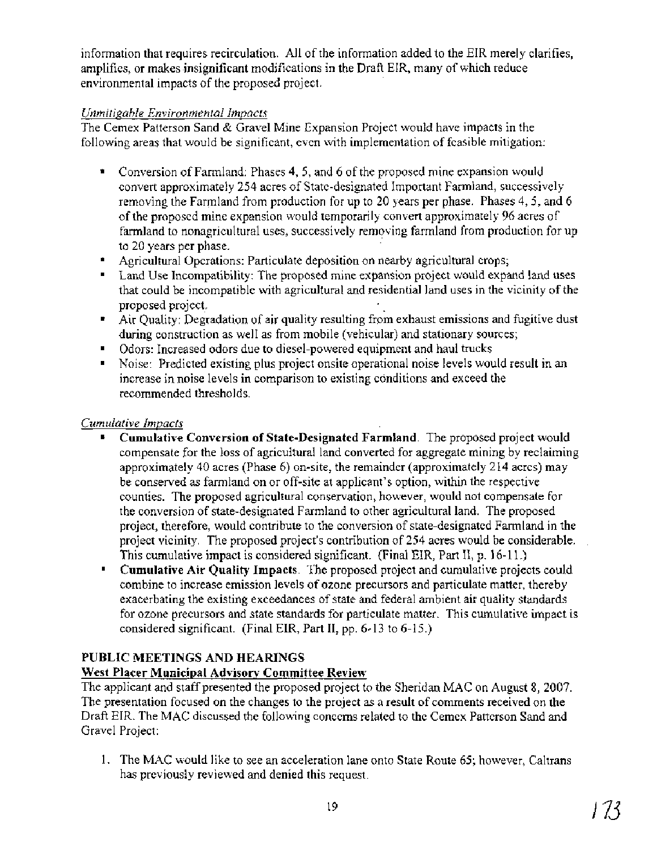information that requires recirculation. All of the information added to the EIR merely clarifies, amplifies, or makes insignificant modifications in the Draft EIR, many of which reduce environmental impacts of the proposed project.

## *Unmitigable Environmental Impacts*

The Cemex Patterson Sand & Gravel Mine Expansion Project would have impacts in the following areas that would be significant, even with implementation of feasible mitigation:

- Conversion of Farmland: Phases 4,5, and 6 of the proposed mine expansion would convert approximately 254 acres of State-designated Important Farmland, successively removing the Farmland from production for up to 20 years per phase. Phases 4,5, and 6 of the proposed mine expansion would temporarily convert approximately 96 acres of farmland to nonagricultural uses, successively removing farmland from production for up to 20 years per phase.
- Agricultural Operations: Particulate deposition on nearby agricultural crops;
- Land Use Incompatibility: The proposed mine expansion project would expand land uses that could be incompatible with agricultural and residential land uses in the vicinity of the proposed project.
- Air Quality: Degradation of air quality resulting from exhaust emissions and fugitive dust during construction as well as from mobile (vehicular) and stationary sources;
- Odors: Increased odors due to diesel-powered equipment and haul trucks  $\mathbf{R}^{\text{max}}$
- Noise: Predicted existing plus project onsite operational noise levels would result in an  $\mathbf{u}$  . increase in noise levels in comparison to existing conditions and exceed the recommended thresholds.

## *Cumulative Impacts*

- **Cumulative Conversion of State-Designated Farmland.** The proposed project would compensate for the loss of agricultural land converted for aggregate mining by reclaiming approximately 40 acres (Phase 6) on-site, the remainder (approximately 2 14 acres) may be conserved as farmland on or off-site at applicant's option, within the respective counties. The proposed agricultural conservation, however, would not compensate for the conversion of state-designated Farmland to other agricultural land. The proposed project, therefore, would contribute to the conversion of state-designated Farmland in the project vicinity. The proposed project's contribution of 254 acres would be considerable. This cumulative impact is considered significant. (Final EIR, Part II, p. 16-11.)
- $\mathbf{r}$ **Cumulative Air Quality Impacts.** The proposed project and cumulative projects could combine to increase emission levels of ozone precursors and particulate matter, thereby exacerbating the existing exceedances of state and federal ambient air quality standards for ozone precursors and state standards for particulate matter. This cumulative impact is considered significant. (Final EIR, Part II, pp. 6-13 to 6-15.)

## **PUBLIC MEETINGS AND HEARINGS**

## **West Placer Municipal Advisory Committee Review**

The applicant and staff presented the proposed project to the Sheridan MAC on August 8,2007 The presentation focused on the changes to the project as a result of comments received on the Draft EIR. The MAC discussed the following concerns related to the Cemex Patterson Sand and Gravel Project:

1. The MAC would like to see an acceleration lane onto State Route 65; however, Caltrans has previously reviewed and denied this request.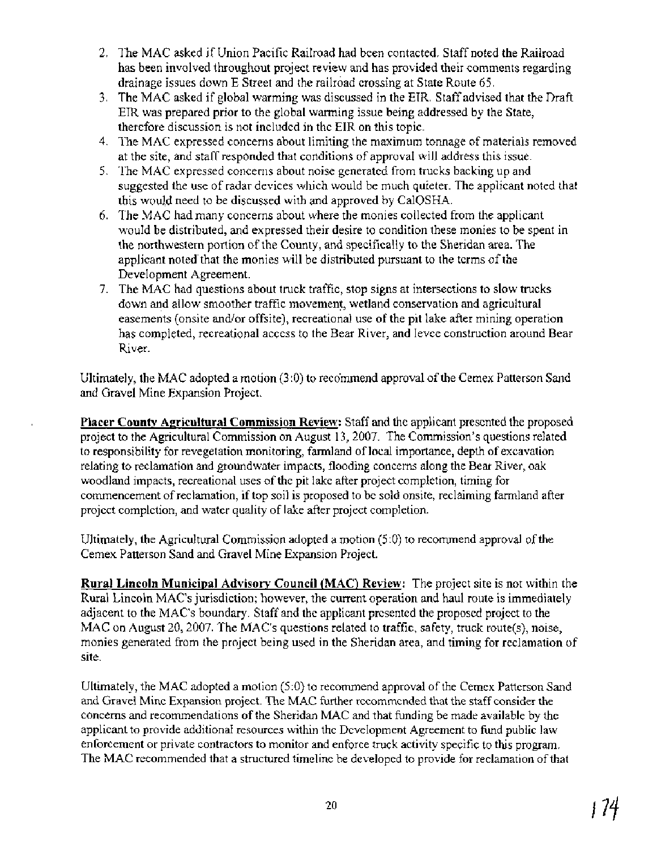- 2. The MAC asked if Union Pacific Railroad had been contacted. Staff noted the Railroad has been involved throughout project review and has provided their comments regarding drainage issues down E Street and the railroad crossing at State Route 65.
- 3. The MAC asked if global warming was discussed in the EIR. Staff advised that the Draft EIR was prepared prior to the global warming issue being addressed by the State, therefore discussion is not included in the EIR on this topic.
- 4. The MAC expressed concerns about limiting the maximum tonnage of materials removed at the site, and staff responded that conditions of approval will address this issue.
- 5. The MAC expressed concerns about noise generated from trucks backing up and suggested the use of radar devices which would be much quieter. The applicant noted that this would need to be discussed with and approved by CalOSHA.
- 6. The MAC had many concerns about where the monies collected from the applicant would be distributed, and expressed their desire to condition these monies to be spent in the northwestern portion of the County, and specifically to the Sheridan area. The applicant noted that the monies will be distributed pursuant to the terms of the Development Agreement.
- 7. The MAC had questions about truck traffic, stop signs at intersections to slow trucks down and allow smoother traffic movement, wetland conservation and agricultural easements (onsite and/or offsite), recreational use of the pit lake after mining operation has completed, recreational access to the Bear River, and levee construction around Bear River.

Ultimately, the MAC adopted a motion (3:O) to recommend approval of the Cemex Patterson Sand and Gravel Mine Expansion Project.

Placer County Agricultural Commission Review: Staff and the applicant presented the proposed project to the Agricultural Commission on August 13,2007. The Commission's questions related to responsibility for revegetation monitoring, farmland of local importance, depth of excavation relating to reclamation and groundwater impacts, flooding concerns along the Bear River, oak woodland impacts, recreational uses of the pit lake after project completion, timing for commencement of reclamation, if top soil is proposed to be sold onsite, reclaiming farmland after project completion, and water quality of lake after project completion.

Ultimately, the Agricultural Commission adopted a motion (5:O) to recommend approval of the Cemex Patterson Sand and Gravel Mine Expansion Project.

**Rural Lincoln Municipal Advisory Council (MAC) Review:** The project site is not within the Rural Lincoln MAC's jurisdiction; however, the current operation and haul route is immediately adjacent to the MAC's boundary. Staff and the applicant presented the proposed project to the MAC on August 20, 2007. The MAC's questions related to traffic, safety, truck route(s), noise, monies generated from the project being used in the Sheridan area, and timing for reclamation of site.

Ultimately, the MAC adopted a motion (5:O) to recommend approval of the Cemex Patterson Sand and Gravel Mine Expansion project. The MAC further recommended that the staff consider the concerns and recommendations of the Sheridan MAC and that funding be made available by the applicant to provide additional resources within the Development Agreement to fund public law enforcement or private contractors to monitor and enforce truck activity specific to this program. The MAC recommended that a structured timeline be developed to provide for reclamation of that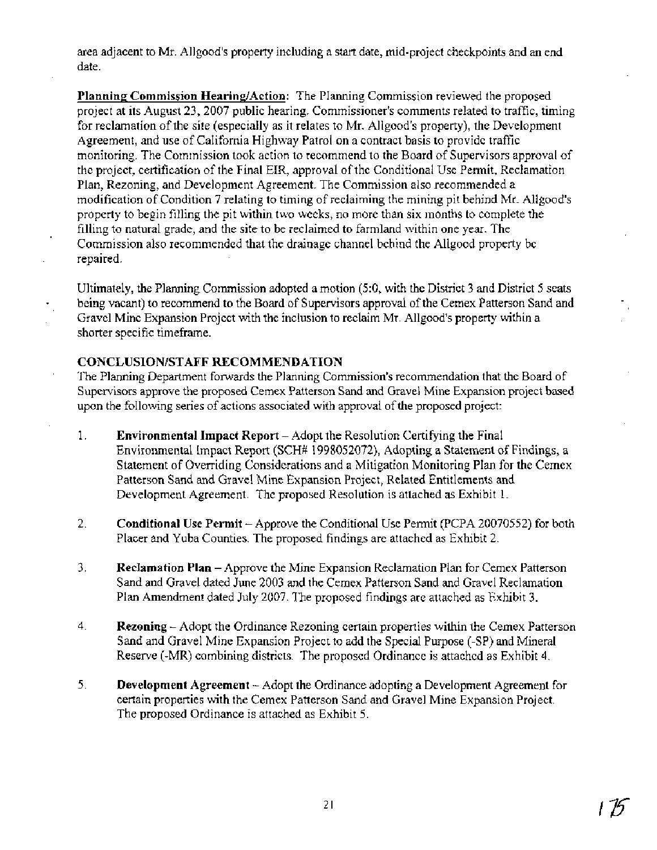area adjacent to Mr. Allgood's property including a start date, mid-project checkpoints and an end date.

Planning Commission Hearing/Action: The Planning Commission reviewed the proposed project at its August 23,2007 public hearing. Commissioner's comments related to traffic, timing for reclamation of the site (especially as it relates to Mr. Allgood's property), the Development Agreement, and use of California Highway Patrol on a contract basis to provide traffic monitoring. The Commission took action to recommend to the Board of Supervisors approval of the project, certification of the Final EIR, approval of the Conditional Use Permit, Reclamation Plan, Rezoning, and Development Agreement. The Commission also recommended a modification of Condition 7 relating to timing of reclaiming the mining pit behind Mr. Allgood's property to begin filling the pit within two weeks, no more than six months to complete the filling to natural grade, and the site to be reclaimed to farmland within one year. The Commission also recommended that the drainage channel behind the Allgood property be repaired.

Ultimately, the Planning Commission adopted a motion (5:0, with the District 3 and District 5 seats being vacant) to recommend to the Board of Supervisors approval of the Cemex Patterson Sand and Gravel Mine Expansion Project with the inclusion to reclaim Mr. Allgood's property within a shorter specific timeframe.

### **CONCLUSIONISTAFF RECOMMENDATION**

The Planning Department forwards the Planning Commission's recommendation that the Board of Supervisors approve the proposed Cemex Patterson Sand and Gravel Mine Expansion project based upon the following series of actions associated with approval of the proposed project:

- 1. **Environmental Impact Report**  Adopt the Resolution Certifying the Final Environmental Impact Report (SCH# 1998052072), Adopting a Statement of Findings, a Statement of Overriding Considerations and a Mitigation Monitoring Plan for the Cemex Patterson Sand and Gravel Mine Expansion Project, Related Entitlements and Development Agreement. The proposed Resolution is attached as Exhibit 1.
- 2. **Conditional Use Permit**  Approve the Conditional Use Permit (PCPA 20070552) for both Placer and Yuba Counties. The proposed findings are attached as Exhibit 2.
- 3. **Reclamation Plan**  Approve the Mine Expansion Reclamation Plan for Cemex Patterson Sand and Gravel dated June 2003 and the Cemex Patterson Sand and Gravel Reclamation Plan Amendment dated July 2007. The proposed findings are attached as Exhibit 3.
- 4. **Rezoning**  Adopt the Ordinance Rezoning certain properties within the Cemex Patterson Sand and Gravel Mine Expansion Project to add the Special Purpose (-SP) and Mineral Reserve (-MR) combining districts. The proposed Ordinance is attached as Exhibit 4.
- *5.* **Development Agreement**  Adopt the Ordinance adopting a Development Agreement for certain properties with the Cemex Patterson Sand and Gravel Mine Expansion Project. The proposed Ordinance is attached as Exhibit 5.